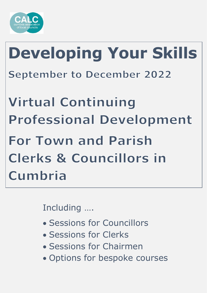

# **Developing Your Skills September to December 2022**

**Virtual Continuing Professional Development For Town and Parish Clerks & Councillors in** Cumbria

Including ….

- Sessions for Councillors
- Sessions for Clerks
- Sessions for Chairmen
- Options for bespoke courses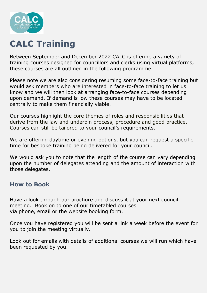

### **CALC Training**

Between September and December 2022 CALC is offering a variety of training courses designed for councillors and clerks using virtual platforms, these courses are all outlined in the following programme.

Please note we are also considering resuming some face-to-face training but would ask members who are interested in face-to-face training to let us know and we will then look at arranging face-to-face courses depending upon demand. If demand is low these courses may have to be located centrally to make them financially viable.

Our courses highlight the core themes of roles and responsibilities that derive from the law and underpin process, procedure and good practice. Courses can still be tailored to your council's requirements.

We are offering daytime or evening options, but you can request a specific time for bespoke training being delivered for your council.

We would ask you to note that the length of the course can vary depending upon the number of delegates attending and the amount of interaction with those delegates.

#### **How to Book**

Have a look through our brochure and discuss it at your next council meeting. Book on to one of our timetabled courses via phone, email or the website booking form.

Once you have registered you will be sent a link a week before the event for you to join the meeting virtually.

Look out for emails with details of additional courses we will run which have been requested by you.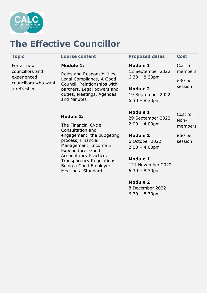

#### **The Effective Councillor**

| <b>Topic</b>                                                                         | <b>Course content</b>                                                                                                                                                                                                                                              | <b>Proposed dates</b>                                                                                                                                                                                                                  | <b>Cost</b>                                       |
|--------------------------------------------------------------------------------------|--------------------------------------------------------------------------------------------------------------------------------------------------------------------------------------------------------------------------------------------------------------------|----------------------------------------------------------------------------------------------------------------------------------------------------------------------------------------------------------------------------------------|---------------------------------------------------|
| For all new<br>councillors and<br>experienced<br>councillors who want<br>a refresher | <b>Module 1:</b><br>Roles and Responsibilities,<br>Legal Compliance, A Good<br>Council, Relationships with<br>partners, Legal powers and<br>duties, Meetings, Agendas<br>and Minutes                                                                               | <b>Module 1</b><br>12 September 2022<br>$6.30 - 8.30$ pm<br><b>Module 2</b><br>19 September 2022<br>$6.30 - 8.30$ pm                                                                                                                   | Cost for<br>members<br>$£30$ per<br>session       |
|                                                                                      | <b>Module 2:</b><br>The Financial Cycle,<br>Consultation and<br>engagement, the budgeting<br>process, Financial<br>Management, Income &<br>Expenditure, Good<br>Accountancy Practice,<br>Transparency Regulations,<br>Being a Good Employer.<br>Meeting a Standard | <b>Module 1</b><br>29 September 2022<br>$2.00 - 4.00pm$<br><b>Module 2</b><br>6 October 2022<br>$2.00 - 4.00$ pm<br><b>Module 1</b><br>121 November 2022<br>$6.30 - 8.30$ pm<br><b>Module 2</b><br>8 December 2022<br>$6.30 - 8.30$ pm | Cost for<br>Non-<br>members<br>£60 per<br>session |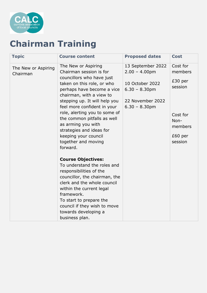

# **Chairman Training**

| <b>Topic</b>                    | <b>Course content</b>                                                                                                                                                                                                                                                                                                                                                                                            | <b>Proposed dates</b>                                                                                               | <b>Cost</b>                                                                                      |
|---------------------------------|------------------------------------------------------------------------------------------------------------------------------------------------------------------------------------------------------------------------------------------------------------------------------------------------------------------------------------------------------------------------------------------------------------------|---------------------------------------------------------------------------------------------------------------------|--------------------------------------------------------------------------------------------------|
| The New or Aspiring<br>Chairman | The New or Aspiring<br>Chairman session is for<br>councillors who have just<br>taken on this role, or who<br>perhaps have become a vice<br>chairman, with a view to<br>stepping up. It will help you<br>feel more confident in your<br>role, alerting you to some of<br>the common pitfalls as well<br>as arming you with<br>strategies and ideas for<br>keeping your council<br>together and moving<br>forward. | 13 September 2022<br>$2.00 - 4.00pm$<br>10 October 2022<br>$6.30 - 8.30$ pm<br>22 November 2022<br>$6.30 - 8.30$ pm | Cost for<br>members<br>$£30$ per<br>session<br>Cost for<br>Non-<br>members<br>£60 per<br>session |
|                                 | <b>Course Objectives:</b><br>To understand the roles and<br>responsibilities of the<br>councillor, the chairman, the<br>clerk and the whole council<br>within the current legal<br>framework.<br>To start to prepare the<br>council if they wish to move<br>towards developing a<br>business plan.                                                                                                               |                                                                                                                     |                                                                                                  |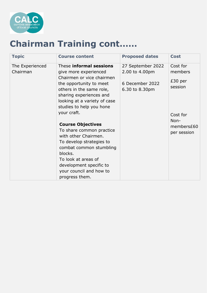

### **Chairman Training cont……**

| <b>Topic</b>                | <b>Course content</b>                                                                                                                                                                                                                                                                                                                                                                                                                                                                       | <b>Proposed dates</b>                                                    | <b>Cost</b>                                                                                  |
|-----------------------------|---------------------------------------------------------------------------------------------------------------------------------------------------------------------------------------------------------------------------------------------------------------------------------------------------------------------------------------------------------------------------------------------------------------------------------------------------------------------------------------------|--------------------------------------------------------------------------|----------------------------------------------------------------------------------------------|
| The Experienced<br>Chairman | These informal sessions<br>give more experienced<br>Chairmen or vice chairmen<br>the opportunity to meet<br>others in the same role,<br>sharing experiences and<br>looking at a variety of case<br>studies to help you hone<br>your craft.<br><b>Course Objectives</b><br>To share common practice<br>with other Chairmen.<br>To develop strategies to<br>combat common stumbling<br>blocks.<br>To look at areas of<br>development specific to<br>your council and how to<br>progress them. | 27 September 2022<br>2.00 to 4.00pm<br>6 December 2022<br>6.30 to 8.30pm | Cost for<br>members<br>$£30$ per<br>session<br>Cost for<br>Non-<br>members£60<br>per session |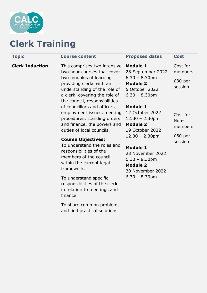

# **Clerk Training**

| <b>Topic</b>           | <b>Course content</b>                                                                                                                                                                                                                                                            | <b>Proposed dates</b>                                                                                                                                                                             | <b>Cost</b>                                       |
|------------------------|----------------------------------------------------------------------------------------------------------------------------------------------------------------------------------------------------------------------------------------------------------------------------------|---------------------------------------------------------------------------------------------------------------------------------------------------------------------------------------------------|---------------------------------------------------|
| <b>Clerk Induction</b> | This comprises two intensive<br>two hour courses that cover<br>two modules of learning<br>providing clerks with an<br>understanding of the role of<br>a clerk, covering the role of<br>the council, responsibilities<br>of councillors and officers,                             | <b>Module 1</b><br>28 September 2022<br>$6.30 - 8.30$ pm<br><b>Module 2</b><br>5 October 2022<br>$6.30 - 8.30$ pm<br><b>Module 1</b>                                                              | Cost for<br>members<br>£30 per<br>session         |
|                        | employment issues, meeting<br>procedures, standing orders<br>and finance, the powers and<br>duties of local councils.<br><b>Course Objectives:</b><br>To understand the roles and<br>responsibilities of the<br>members of the council<br>within the current legal<br>framework. | 12 October 2022<br>$12.30 - 2.30$ pm<br><b>Module 2</b><br>19 October 2022<br>$12.30 - 2.30$ pm<br><b>Module 1</b><br>23 November 2022<br>$6.30 - 8.30$ pm<br><b>Module 2</b><br>30 November 2022 | Cost for<br>Non-<br>members<br>£60 per<br>session |
|                        | To understand specific<br>responsibilities of the clerk<br>in relation to meetings and<br>finance.<br>To share common problems                                                                                                                                                   | $6.30 - 8.30$ pm                                                                                                                                                                                  |                                                   |
|                        | and find practical solutions.                                                                                                                                                                                                                                                    |                                                                                                                                                                                                   |                                                   |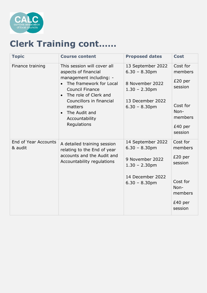

# **Clerk Training cont……**

| <b>Topic</b>                           | <b>Course content</b>                                                                                                                                                                                                                                                                        | <b>Proposed dates</b>                                                                                                | <b>Cost</b>                                                                                      |
|----------------------------------------|----------------------------------------------------------------------------------------------------------------------------------------------------------------------------------------------------------------------------------------------------------------------------------------------|----------------------------------------------------------------------------------------------------------------------|--------------------------------------------------------------------------------------------------|
| Finance training                       | This session will cover all<br>aspects of financial<br>management including: -<br>The framework for Local<br>$\bullet$<br><b>Council Finance</b><br>The role of Clerk and<br>$\bullet$<br>Councillors in financial<br>matters<br>The Audit and<br>$\bullet$<br>Accountability<br>Regulations | 13 September 2022<br>$6.30 - 8.30$ pm<br>8 November 2022<br>$1.30 - 2.30$ pm<br>13 December 2022<br>$6.30 - 8.30$ pm | Cost for<br>members<br>$£20$ per<br>session<br>Cost for<br>Non-<br>members<br>£40 per<br>session |
| <b>End of Year Accounts</b><br>& audit | A detailed training session<br>relating to the End of year<br>accounts and the Audit and<br>Accountability regulations                                                                                                                                                                       | 14 September 2022<br>$6.30 - 8.30$ pm<br>9 November 2022<br>$1.30 - 2.30$ pm<br>14 December 2022<br>$6.30 - 8.30$ pm | Cost for<br>members<br>£20 per<br>session<br>Cost for<br>Non-<br>members<br>£40 per<br>session   |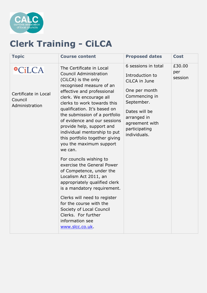

# **Clerk Training - CiLCA**

| <b>Topic</b>                                                       | <b>Course content</b>                                                                                                                                                                                                                                                                                                                                                                                                                                                                                                                                                                                                                                                                                                                                                        | <b>Proposed dates</b>                                                                                                                                                                      | <b>Cost</b>              |
|--------------------------------------------------------------------|------------------------------------------------------------------------------------------------------------------------------------------------------------------------------------------------------------------------------------------------------------------------------------------------------------------------------------------------------------------------------------------------------------------------------------------------------------------------------------------------------------------------------------------------------------------------------------------------------------------------------------------------------------------------------------------------------------------------------------------------------------------------------|--------------------------------------------------------------------------------------------------------------------------------------------------------------------------------------------|--------------------------|
| <b>OCiLCA</b><br>Certificate in Local<br>Council<br>Administration | The Certificate in Local<br><b>Council Administration</b><br>(CiLCA) is the only<br>recognised measure of an<br>effective and professional<br>clerk. We encourage all<br>clerks to work towards this<br>qualification. It's based on<br>the submission of a portfolio<br>of evidence and our sessions<br>provide help, support and<br>individual mentorship to put<br>this portfolio together giving<br>you the maximum support<br>we can.<br>For councils wishing to<br>exercise the General Power<br>of Competence, under the<br>Localism Act 2011, an<br>appropriately qualified clerk<br>is a mandatory requirement.<br>Clerks will need to register<br>for the course with the<br>Society of Local Council<br>Clerks. For further<br>information see<br>www.slcc.co.uk. | 6 sessions in total<br>Introduction to<br>CiLCA in June<br>One per month<br>Commencing in<br>September.<br>Dates will be<br>arranged in<br>agreement with<br>participating<br>individuals. | £30.00<br>per<br>session |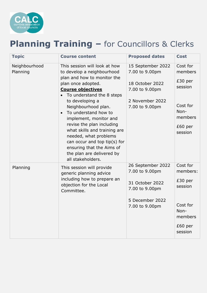

### **Planning Training –** for Councillors & Clerks

| <b>Topic</b>              | <b>Course content</b>                                                                                                                                                                                                                                                                                                                                                                                                                                                                                | <b>Proposed dates</b>                                                                                         | <b>Cost</b>                                                                                     |
|---------------------------|------------------------------------------------------------------------------------------------------------------------------------------------------------------------------------------------------------------------------------------------------------------------------------------------------------------------------------------------------------------------------------------------------------------------------------------------------------------------------------------------------|---------------------------------------------------------------------------------------------------------------|-------------------------------------------------------------------------------------------------|
| Neighbourhood<br>Planning | This session will look at how<br>to develop a neighbourhood<br>plan and how to monitor the<br>plan once adopted.<br><b>Course objectives</b><br>To understand the 8 steps<br>$\bullet$<br>to developing a<br>Neighbourhood plan.<br>To understand how to<br>$\bullet$<br>implement, monitor and<br>revise the plan including<br>what skills and training are<br>needed, what problems<br>can occur and top tip(s) for<br>ensuring that the Aims of<br>the plan are delivered by<br>all stakeholders. | 15 September 2022<br>7.00 to 9.00pm<br>18 October 2022<br>7.00 to 9.00pm<br>2 November 2022<br>7.00 to 9.00pm | Cost for<br>members<br>£30 per<br>session<br>Cost for<br>Non-<br>members<br>£60 per<br>session  |
| Planning                  | This session will provide<br>generic planning advice<br>including how to prepare an<br>objection for the Local<br>Committee.                                                                                                                                                                                                                                                                                                                                                                         | 26 September 2022<br>7.00 to 9.00pm<br>31 October 2022<br>7.00 to 9.00pm<br>5 December 2022<br>7.00 to 9.00pm | Cost for<br>members:<br>£30 per<br>session<br>Cost for<br>Non-<br>members<br>£60 per<br>session |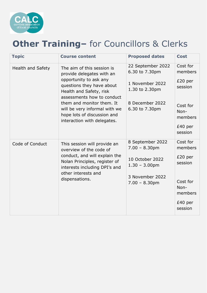

### **Other Training–** for Councillors & Clerks

| <b>Topic</b>             | <b>Course content</b>                                                                                                                                                                                                                                                                               | <b>Proposed dates</b>                                                                                              | <b>Cost</b>                                                                                      |
|--------------------------|-----------------------------------------------------------------------------------------------------------------------------------------------------------------------------------------------------------------------------------------------------------------------------------------------------|--------------------------------------------------------------------------------------------------------------------|--------------------------------------------------------------------------------------------------|
| <b>Health and Safety</b> | The aim of this session is<br>provide delegates with an<br>opportunity to ask any<br>questions they have about<br>Health and Safety, risk<br>assessments how to conduct<br>them and monitor them. It<br>will be very informal with we<br>hope lots of discussion and<br>interaction with delegates. | 22 September 2022<br>6.30 to 7.30pm<br>1 November 2022<br>1.30 to 2.30pm<br>8 December 2022<br>6.30 to 7.30pm      | Cost for<br>members<br>$£20$ per<br>session<br>Cost for<br>Non-<br>members<br>£40 per<br>session |
| Code of Conduct          | This session will provide an<br>overview of the code of<br>conduct, and will explain the<br>Nolan Principles, register of<br>interests including DPI's and<br>other interests and<br>dispensations.                                                                                                 | 8 September 2022<br>$7.00 - 8.30$ pm<br>10 October 2022<br>$1.30 - 3.00$ pm<br>3 November 2022<br>$7.00 - 8.30$ pm | Cost for<br>members<br>$£20$ per<br>session<br>Cost for<br>Non-<br>members<br>£40 per<br>session |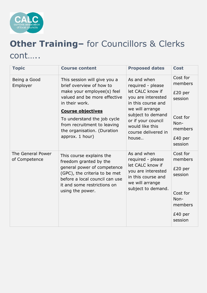

# **Other Training–** for Councillors & Clerks cont…..

| <b>Topic</b>                       | <b>Course content</b>                                                                                                                                                                                                                                                                | <b>Proposed dates</b>                                                                                                                                                                                             | <b>Cost</b>                                                                                        |
|------------------------------------|--------------------------------------------------------------------------------------------------------------------------------------------------------------------------------------------------------------------------------------------------------------------------------------|-------------------------------------------------------------------------------------------------------------------------------------------------------------------------------------------------------------------|----------------------------------------------------------------------------------------------------|
| Being a Good<br>Employer           | This session will give you a<br>brief overview of how to<br>make your employee(s) feel<br>valued and be more effective<br>in their work.<br><b>Course objectives</b><br>To understand the job cycle<br>from recruitment to leaving<br>the organisation. (Duration<br>approx. 1 hour) | As and when<br>required - please<br>let CALC know if<br>you are interested<br>in this course and<br>we will arrange<br>subject to demand<br>or if your council<br>would like this<br>course delivered in<br>house | Cost for<br>members<br>$£20$ per<br>session<br>Cost for<br>Non-<br>members<br>£40 per<br>session   |
| The General Power<br>of Competence | This course explains the<br>freedom granted by the<br>general power of competence<br>(GPC), the criteria to be met<br>before a local council can use<br>it and some restrictions on<br>using the power.                                                                              | As and when<br>required - please<br>let CALC know if<br>you are interested<br>in this course and<br>we will arrange<br>subject to demand.                                                                         | Cost for<br>members<br>$£20$ per<br>session<br>Cost for<br>Non-<br>members<br>$£40$ per<br>session |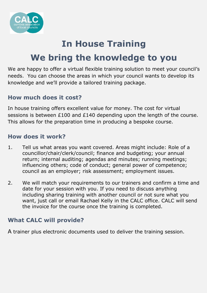

# **In House Training We bring the knowledge to you**

We are happy to offer a virtual flexible training solution to meet your council's needs. You can choose the areas in which your council wants to develop its knowledge and we'll provide a tailored training package.

#### **How much does it cost?**

In house training offers excellent value for money. The cost for virtual sessions is between £100 and £140 depending upon the length of the course. This allows for the preparation time in producing a bespoke course.

#### **How does it work?**

- 1. Tell us what areas you want covered. Areas might include: Role of a councillor/chair/clerk/council; finance and budgeting; your annual return; internal auditing; agendas and minutes; running meetings; influencing others; code of conduct; general power of competence; council as an employer; risk assessment; employment issues.
- 2. We will match your requirements to our trainers and confirm a time and date for your session with you. If you need to discuss anything including sharing training with another council or not sure what you want, just call or email Rachael Kelly in the CALC office. CALC will send the invoice for the course once the training is completed.

#### **What CALC will provide?**

A trainer plus electronic documents used to deliver the training session.